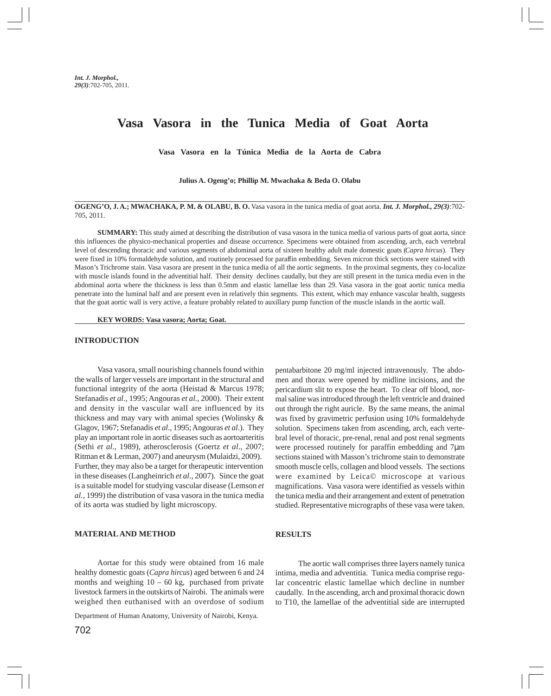# **Vasa Vasora in the Tunica Media of Goat Aorta**

**Vasa Vasora en la Túnica Media de la Aorta de Cabra**

**Julius A. Ogeng'o; Phillip M. Mwachaka & Beda O. Olabu**

**OGENG'O, J. A.; MWACHAKA, P. M. & OLABU, B. O.** Vasa vasora in the tunica media of goat aorta. *Int. J. Morphol., 29(3)*:702- 705, 2011.

**SUMMARY:** This study aimed at describing the distribution of vasa vasora in the tunica media of various parts of goat aorta, since this influences the physico-mechanical properties and disease occurrence. Specimens were obtained from ascending, arch, each vertebral level of descending thoracic and various segments of abdominal aorta of sixteen healthy adult male domestic goats (*Capra hircus*). They were fixed in 10% formaldehyde solution, and routinely processed for paraffin embedding. Seven micron thick sections were stained with Mason's Trichrome stain. Vasa vasora are present in the tunica media of all the aortic segments. In the proximal segments, they co-localize with muscle islands found in the adventitial half. Their density declines caudally, but they are still present in the tunica media even in the abdominal aorta where the thickness is less than 0.5mm and elastic lamellae less than 29. Vasa vasora in the goat aortic tunica media penetrate into the luminal half and are present even in relatively thin segments. This extent, which may enhance vascular health, suggests that the goat aortic wall is very active, a feature probably related to auxillary pump function of the muscle islands in the aortic wall.

**KEY WORDS: Vasa vasora; Aorta; Goat.**

## **INTRODUCTION**

Vasa vasora, small nourishing channels found within the walls of larger vessels are important in the structural and functional integrity of the aorta (Heistad & Marcus 1978; Stefanadis *et al*., 1995; Angouras *et al.*, 2000). Their extent and density in the vascular wall are influenced by its thickness and may vary with animal species (Wolinsky & Glagov, 1967; Stefanadis *et al*., 1995; Angouras *et al*.). They play an important role in aortic diseases such as aortoarteritis (Sethi *et al.*, 1989), atherosclerosis (Goertz *et al*., 2007; Ritman et & Lerman, 2007) and aneurysm (Mulaidzi, 2009). Further, they may also be a target for therapeutic intervention in these diseases (Langheinrich *et al.*, 2007). Since the goat is a suitable model for studying vascular disease (Lemson *et al.,* 1999) the distribution of vasa vasora in the tunica media of its aorta was studied by light microscopy.

## **MATERIAL AND METHOD**

Aortae for this study were obtained from 16 male healthy domestic goats (*Capra hircus*) aged between 6 and 24 months and weighing  $10 - 60$  kg, purchased from private livestock farmers in the outskirts of Nairobi. The animals were weighed then euthanised with an overdose of sodium

Department of Human Anatomy, University of Nairobi, Kenya.

pentabarbitone 20 mg/ml injected intravenously. The abdomen and thorax were opened by midline incisions, and the pericardium slit to expose the heart. To clear off blood, normal saline was introduced through the left ventricle and drained out through the right auricle. By the same means, the animal was fixed by gravimetric perfusion using 10% formaldehyde solution. Specimens taken from ascending, arch, each vertebral level of thoracic, pre-renal, renal and post renal segments were processed routinely for paraffin embedding and 7µm sections stained with Masson's trichrome stain to demonstrate smooth muscle cells, collagen and blood vessels. The sections were examined by Leica© microscope at various magnifications. Vasa vasora were identified as vessels within the tunica media and their arrangement and extent of penetration studied. Representative micrographs of these vasa were taken.

### **RESULTS**

The aortic wall comprises three layers namely tunica intima, media and adventitia. Tunica media comprise regular concentric elastic lamellae which decline in number caudally. In the ascending, arch and proximal thoracic down to T10, the lamellae of the adventitial side are interrupted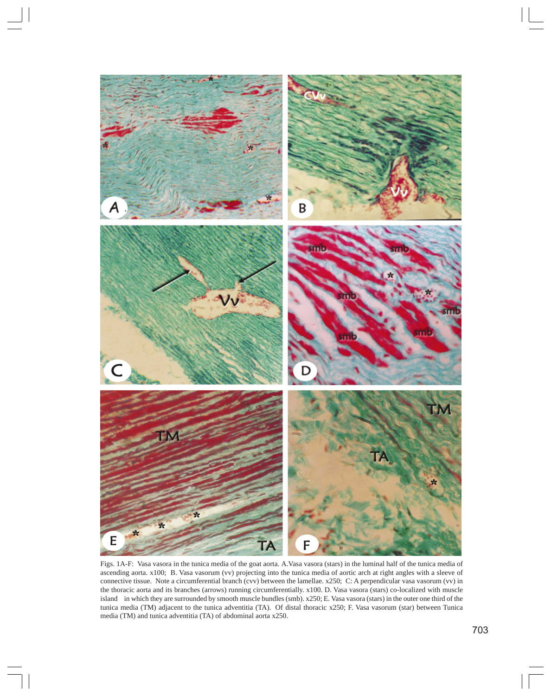

Figs. 1A-F: Vasa vasora in the tunica media of the goat aorta. A.Vasa vasora (stars) in the luminal half of the tunica media of ascending aorta. x100; B. Vasa vasorum (vv) projecting into the tunica media of aortic arch at right angles with a sleeve of connective tissue. Note a circumferential branch (cvv) between the lamellae. x250; C: A perpendicular vasa vasorum (vv) in the thoracic aorta and its branches (arrows) running circumferentially. x100. D. Vasa vasora (stars) co-localized with muscle island in which they are surrounded by smooth muscle bundles (smb). x250; E. Vasa vasora (stars) in the outer one third of the tunica media (TM) adjacent to the tunica adventitia (TA). Of distal thoracic x250; F. Vasa vasorum (star) between Tunica media (TM) and tunica adventitia (TA) of abdominal aorta x250.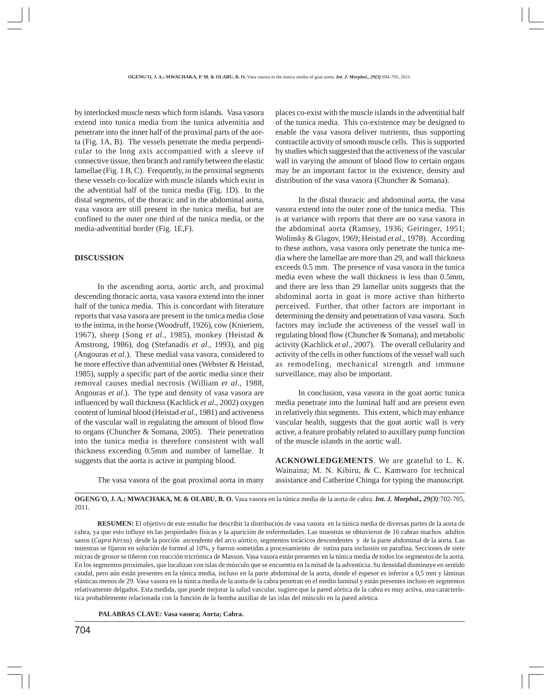by interlocked muscle nests which form islands. Vasa vasora extend into tunica media from the tunica adventitia and penetrate into the inner half of the proximal parts of the aorta (Fig. 1A, B). The vessels penetrate the media perpendicular to the long axis accompanied with a sleeve of connective tissue, then branch and ramify between the elastic lamellae (Fig. 1 B, C). Frequently, in the proximal segments these vessels co-localize with muscle islands which exist in the adventitial half of the tunica media (Fig. 1D). In the distal segments, of the thoracic and in the abdominal aorta, vasa vasora are still present in the tunica media, but are confined to the outer one third of the tunica media, or the media-adventitial border (Fig. 1E,F).

#### **DISCUSSION**

In the ascending aorta, aortic arch, and proximal descending thoracic aorta, vasa vasora extend into the inner half of the tunica media. This is concordant with literature reports that vasa vasora are present in the tunica media close to the intima, in the horse (Woodruff, 1926), cow (Knieriem, 1967), sheep (Song *et al.*, 1985), monkey (Heistad & Amstrong, 1986), dog (Stefanadis *et al*., 1993), and pig (Angouras *et al*.). These medial vasa vasora, considered to be more effective than adventitial ones (Webster & Heistad, 1985), supply a specific part of the aortic media since their removal causes medial necrosis (William *et al*., 1988, Angouras *et al*.). The type and density of vasa vasora are influenced by wall thickness (Kachlick *et al*., 2002) oxygen content of luminal blood (Heistad *et al*., 1981) and activeness of the vascular wall in regulating the amount of blood flow to organs (Chuncher & Somana, 2005). Their penetration into the tunica media is therefore consistent with wall thickness exceeding 0.5mm and number of lamellae. It suggests that the aorta is active in pumping blood.

The vasa vasora of the goat proximal aorta in many

places co-exist with the muscle islands in the adventitial half of the tunica media. This co-existence may be designed to enable the vasa vasora deliver nutrients, thus supporting contractile activity of smooth muscle cells. This is supported by studies which suggested that the activeness of the vascular wall in varying the amount of blood flow to certain organs may be an important factor in the existence, density and distribution of the vasa vasora (Chuncher & Somana).

In the distal thoracic and abdominal aorta, the vasa vasora extend into the outer zone of the tunica media. This is at variance with reports that there are no vasa vasora in the abdominal aorta (Ramsey, 1936; Geiringer, 1951; Wolinsky & Glagov, 1969; Heistad *et al*., 1978). According to these authors, vasa vasora only penetrate the tunica media where the lamellae are more than 29, and wall thickness exceeds 0.5 mm. The presence of vasa vasora in the tunica media even where the wall thickness is less than 0.5mm, and there are less than 29 lamellar units suggests that the abdominal aorta in goat is more active than hitherto perceived. Further, that other factors are important in determining the density and penetration of vasa vasora. Such factors may include the activeness of the vessel wall in regulating blood flow (Chuncher & Somana); and metabolic activity (Kachlick *et al*., 2007). The overall cellularity and activity of the cells in other functions of the vessel wall such as remodeling, mechanical strength and immune surveillance, may also be important.

In conclusion, vasa vasora in the goat aortic tunica media penetrate into the luminal half and are present even in relatively thin segments. This extent, which may enhance vascular health, suggests that the goat aortic wall is very active, a feature probably related to auxillary pump function of the muscle islands in the aortic wall.

**ACKNOWLEDGEMENTS**. We are grateful to L. K. Wainaina; M. N. Kibiru, & C. Kamwaro for technical assistance and Catherine Chinga for typing the manuscript.

**OGENG'O, J. A.; MWACHAKA, M. & OLABU, B. O.** Vasa vasora en la túnica media de la aorta de cabra. *Int. J. Morphol., 29(3)*:702-705, 2011.

**RESUMEN:** El objetivo de este estudio fue describir la distribución de vasa vasora en la túnica media de diversas partes de la aorta de cabra, ya que esto influye en las propiedades físicas y la aparición de enfermedades. Las muestras se obtuvieron de 16 cabras machos adultos sanos (*Capra hircus*) desde la porción ascendente del arco aórtico, segmentos torácicos descendentes y de la parte abdominal de la aorta. Las muestras se fijaron en solución de formol al 10%, y fueron sometidas a procesamiento de rutina para inclusión en parafina. Secciones de siete micras de grosor se tiñeron con reacción tricrómica de Masson. Vasa vasora están presentes en la túnica media de todos los segmentos de la aorta. En los segmentos proximales, que localizan con islas de músculo que se encuentra en la mitad de la adventicia. Su densidad disminuye en sentido caudal, pero aún están presentes en la túnica media, incluso en la parte abdominal de la aorta, donde el espesor es inferior a 0,5 mm y láminas elásticas menos de 29. Vasa vasora en la túnica media de la aorta de la cabra penetran en el medio luminal y están presentes incluso en segmentos relativamente delgados. Esta medida, que puede mejorar la salud vascular, sugiere que la pared aórtica de la cabra es muy activa, una característica probablemente relacionada con la función de la bomba auxiliar de las islas del músculo en la pared aórtica.

 **PALABRAS CLAVE: Vasa vasora; Aorta; Cabra.**